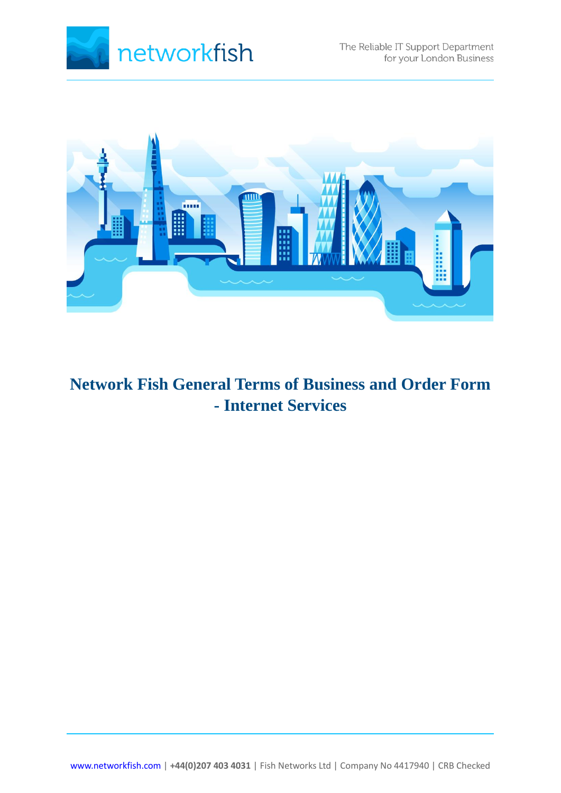



# **Network Fish General Terms of Business and Order Form - Internet Services**

[www.networkfish.com](http://www.networkfish.com/) | **+44(0)207 403 4031** [| Fish Networks Ltd | Company No 4417940 | CRB Checked](http://www.networkfish.com/)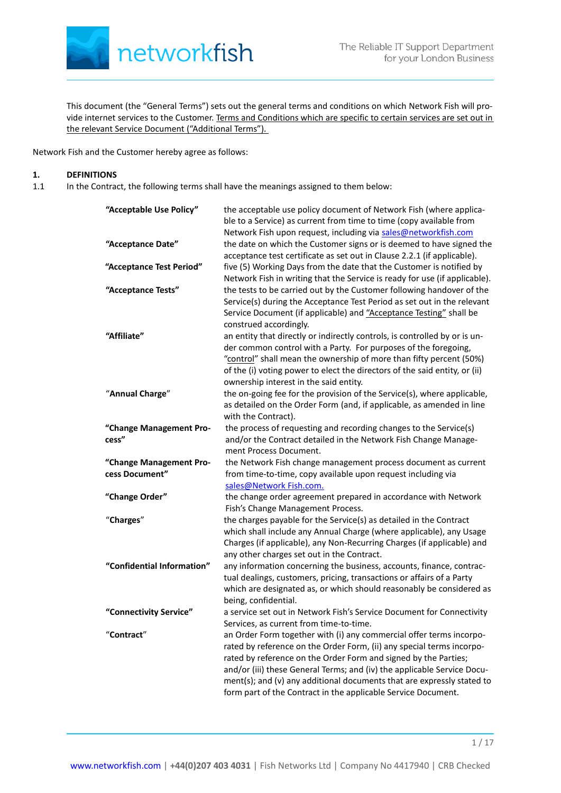

This document (the "General Terms") sets out the general terms and conditions on which Network Fish will provide internet services to the Customer. Terms and Conditions which are specific to certain services are set out in the relevant Service Document ("Additional Terms").

Network Fish and the Customer hereby agree as follows:

#### **1. DEFINITIONS**

1.1 In the Contract, the following terms shall have the meanings assigned to them below:

| "Acceptable Use Policy"                   | the acceptable use policy document of Network Fish (where applica-<br>ble to a Service) as current from time to time (copy available from<br>Network Fish upon request, including via sales@networkfish.com                                                                                                                                                                                                                           |
|-------------------------------------------|---------------------------------------------------------------------------------------------------------------------------------------------------------------------------------------------------------------------------------------------------------------------------------------------------------------------------------------------------------------------------------------------------------------------------------------|
| "Acceptance Date"                         | the date on which the Customer signs or is deemed to have signed the<br>acceptance test certificate as set out in Clause 2.2.1 (if applicable).                                                                                                                                                                                                                                                                                       |
| "Acceptance Test Period"                  | five (5) Working Days from the date that the Customer is notified by<br>Network Fish in writing that the Service is ready for use (if applicable).                                                                                                                                                                                                                                                                                    |
| "Acceptance Tests"                        | the tests to be carried out by the Customer following handover of the<br>Service(s) during the Acceptance Test Period as set out in the relevant<br>Service Document (if applicable) and "Acceptance Testing" shall be<br>construed accordingly.                                                                                                                                                                                      |
| "Affiliate"                               | an entity that directly or indirectly controls, is controlled by or is un-<br>der common control with a Party. For purposes of the foregoing,<br>"control" shall mean the ownership of more than fifty percent (50%)<br>of the (i) voting power to elect the directors of the said entity, or (ii)<br>ownership interest in the said entity.                                                                                          |
| "Annual Charge"                           | the on-going fee for the provision of the Service(s), where applicable,<br>as detailed on the Order Form (and, if applicable, as amended in line<br>with the Contract).                                                                                                                                                                                                                                                               |
| "Change Management Pro-<br>cess"          | the process of requesting and recording changes to the Service(s)<br>and/or the Contract detailed in the Network Fish Change Manage-<br>ment Process Document.                                                                                                                                                                                                                                                                        |
| "Change Management Pro-<br>cess Document" | the Network Fish change management process document as current<br>from time-to-time, copy available upon request including via<br>sales@Network Fish.com.                                                                                                                                                                                                                                                                             |
| "Change Order"                            | the change order agreement prepared in accordance with Network<br>Fish's Change Management Process.                                                                                                                                                                                                                                                                                                                                   |
| "Charges"                                 | the charges payable for the Service(s) as detailed in the Contract<br>which shall include any Annual Charge (where applicable), any Usage<br>Charges (if applicable), any Non-Recurring Charges (if applicable) and<br>any other charges set out in the Contract.                                                                                                                                                                     |
| "Confidential Information"                | any information concerning the business, accounts, finance, contrac-<br>tual dealings, customers, pricing, transactions or affairs of a Party<br>which are designated as, or which should reasonably be considered as<br>being, confidential.                                                                                                                                                                                         |
| "Connectivity Service"                    | a service set out in Network Fish's Service Document for Connectivity<br>Services, as current from time-to-time.                                                                                                                                                                                                                                                                                                                      |
| "Contract"                                | an Order Form together with (i) any commercial offer terms incorpo-<br>rated by reference on the Order Form, (ii) any special terms incorpo-<br>rated by reference on the Order Form and signed by the Parties;<br>and/or (iii) these General Terms; and (iv) the applicable Service Docu-<br>ment(s); and (v) any additional documents that are expressly stated to<br>form part of the Contract in the applicable Service Document. |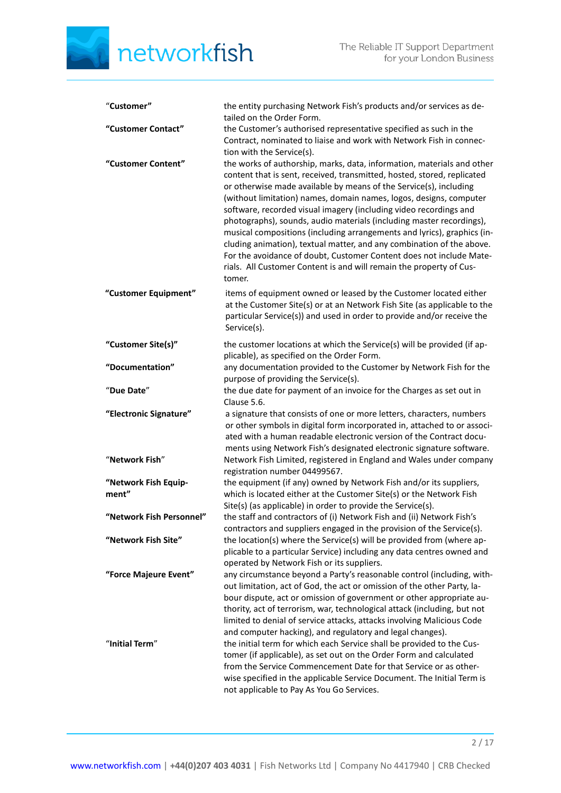| "Customer"                    | the entity purchasing Network Fish's products and/or services as de-<br>tailed on the Order Form.                                                                                                                                                                                                                                                                                                                                                                                                                                                                                                                                                                                                                                                     |
|-------------------------------|-------------------------------------------------------------------------------------------------------------------------------------------------------------------------------------------------------------------------------------------------------------------------------------------------------------------------------------------------------------------------------------------------------------------------------------------------------------------------------------------------------------------------------------------------------------------------------------------------------------------------------------------------------------------------------------------------------------------------------------------------------|
| "Customer Contact"            | the Customer's authorised representative specified as such in the<br>Contract, nominated to liaise and work with Network Fish in connec-<br>tion with the Service(s).                                                                                                                                                                                                                                                                                                                                                                                                                                                                                                                                                                                 |
| "Customer Content"            | the works of authorship, marks, data, information, materials and other<br>content that is sent, received, transmitted, hosted, stored, replicated<br>or otherwise made available by means of the Service(s), including<br>(without limitation) names, domain names, logos, designs, computer<br>software, recorded visual imagery (including video recordings and<br>photographs), sounds, audio materials (including master recordings),<br>musical compositions (including arrangements and lyrics), graphics (in-<br>cluding animation), textual matter, and any combination of the above.<br>For the avoidance of doubt, Customer Content does not include Mate-<br>rials. All Customer Content is and will remain the property of Cus-<br>tomer. |
| "Customer Equipment"          | items of equipment owned or leased by the Customer located either<br>at the Customer Site(s) or at an Network Fish Site (as applicable to the<br>particular Service(s)) and used in order to provide and/or receive the<br>Service(s).                                                                                                                                                                                                                                                                                                                                                                                                                                                                                                                |
| "Customer Site(s)"            | the customer locations at which the Service(s) will be provided (if ap-<br>plicable), as specified on the Order Form.                                                                                                                                                                                                                                                                                                                                                                                                                                                                                                                                                                                                                                 |
| "Documentation"               | any documentation provided to the Customer by Network Fish for the<br>purpose of providing the Service(s).                                                                                                                                                                                                                                                                                                                                                                                                                                                                                                                                                                                                                                            |
| "Due Date"                    | the due date for payment of an invoice for the Charges as set out in<br>Clause 5.6.                                                                                                                                                                                                                                                                                                                                                                                                                                                                                                                                                                                                                                                                   |
| "Electronic Signature"        | a signature that consists of one or more letters, characters, numbers<br>or other symbols in digital form incorporated in, attached to or associ-<br>ated with a human readable electronic version of the Contract docu-<br>ments using Network Fish's designated electronic signature software.                                                                                                                                                                                                                                                                                                                                                                                                                                                      |
| "Network Fish"                | Network Fish Limited, registered in England and Wales under company<br>registration number 04499567.                                                                                                                                                                                                                                                                                                                                                                                                                                                                                                                                                                                                                                                  |
| "Network Fish Equip-<br>ment" | the equipment (if any) owned by Network Fish and/or its suppliers,<br>which is located either at the Customer Site(s) or the Network Fish<br>Site(s) (as applicable) in order to provide the Service(s).                                                                                                                                                                                                                                                                                                                                                                                                                                                                                                                                              |
| "Network Fish Personnel"      | the staff and contractors of (i) Network Fish and (ii) Network Fish's<br>contractors and suppliers engaged in the provision of the Service(s).                                                                                                                                                                                                                                                                                                                                                                                                                                                                                                                                                                                                        |
| "Network Fish Site"           | the location(s) where the Service(s) will be provided from (where ap-<br>plicable to a particular Service) including any data centres owned and<br>operated by Network Fish or its suppliers.                                                                                                                                                                                                                                                                                                                                                                                                                                                                                                                                                         |
| "Force Majeure Event"         | any circumstance beyond a Party's reasonable control (including, with-<br>out limitation, act of God, the act or omission of the other Party, la-<br>bour dispute, act or omission of government or other appropriate au-<br>thority, act of terrorism, war, technological attack (including, but not<br>limited to denial of service attacks, attacks involving Malicious Code<br>and computer hacking), and regulatory and legal changes).                                                                                                                                                                                                                                                                                                          |
| "Initial Term"                | the initial term for which each Service shall be provided to the Cus-<br>tomer (if applicable), as set out on the Order Form and calculated<br>from the Service Commencement Date for that Service or as other-<br>wise specified in the applicable Service Document. The Initial Term is<br>not applicable to Pay As You Go Services.                                                                                                                                                                                                                                                                                                                                                                                                                |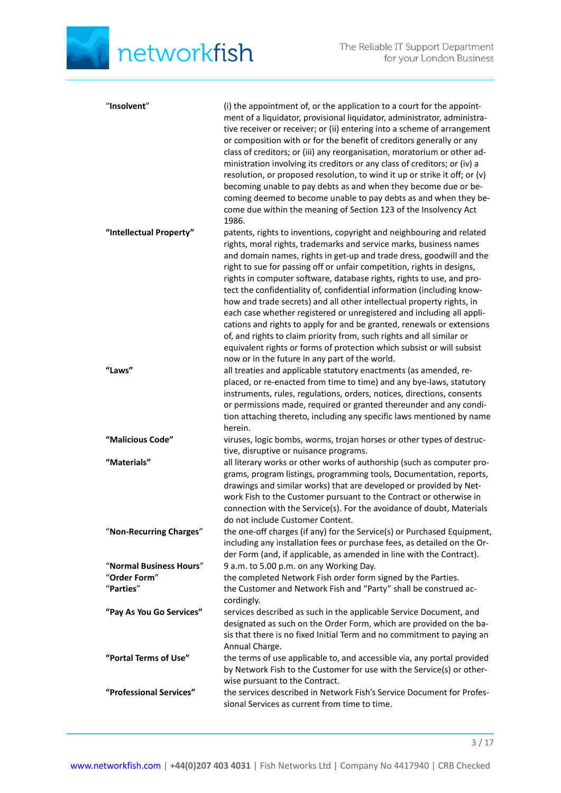| "Insolvent"                                          | (i) the appointment of, or the application to a court for the appoint-<br>ment of a liquidator, provisional liquidator, administrator, administra-<br>tive receiver or receiver; or (ii) entering into a scheme of arrangement<br>or composition with or for the benefit of creditors generally or any<br>class of creditors; or (iii) any reorganisation, moratorium or other ad-<br>ministration involving its creditors or any class of creditors; or (iv) a<br>resolution, or proposed resolution, to wind it up or strike it off; or (v)<br>becoming unable to pay debts as and when they become due or be-<br>coming deemed to become unable to pay debts as and when they be-<br>come due within the meaning of Section 123 of the Insolvency Act<br>1986.                                                                                                                 |
|------------------------------------------------------|-----------------------------------------------------------------------------------------------------------------------------------------------------------------------------------------------------------------------------------------------------------------------------------------------------------------------------------------------------------------------------------------------------------------------------------------------------------------------------------------------------------------------------------------------------------------------------------------------------------------------------------------------------------------------------------------------------------------------------------------------------------------------------------------------------------------------------------------------------------------------------------|
| "Intellectual Property"                              | patents, rights to inventions, copyright and neighbouring and related<br>rights, moral rights, trademarks and service marks, business names<br>and domain names, rights in get-up and trade dress, goodwill and the<br>right to sue for passing off or unfair competition, rights in designs,<br>rights in computer software, database rights, rights to use, and pro-<br>tect the confidentiality of, confidential information (including know-<br>how and trade secrets) and all other intellectual property rights, in<br>each case whether registered or unregistered and including all appli-<br>cations and rights to apply for and be granted, renewals or extensions<br>of, and rights to claim priority from, such rights and all similar or<br>equivalent rights or forms of protection which subsist or will subsist<br>now or in the future in any part of the world. |
| "Laws"                                               | all treaties and applicable statutory enactments (as amended, re-<br>placed, or re-enacted from time to time) and any bye-laws, statutory<br>instruments, rules, regulations, orders, notices, directions, consents<br>or permissions made, required or granted thereunder and any condi-<br>tion attaching thereto, including any specific laws mentioned by name<br>herein.                                                                                                                                                                                                                                                                                                                                                                                                                                                                                                     |
| "Malicious Code"                                     | viruses, logic bombs, worms, trojan horses or other types of destruc-<br>tive, disruptive or nuisance programs.                                                                                                                                                                                                                                                                                                                                                                                                                                                                                                                                                                                                                                                                                                                                                                   |
| "Materials"                                          | all literary works or other works of authorship (such as computer pro-<br>grams, program listings, programming tools, Documentation, reports,<br>drawings and similar works) that are developed or provided by Net-<br>work Fish to the Customer pursuant to the Contract or otherwise in<br>connection with the Service(s). For the avoidance of doubt, Materials<br>do not include Customer Content.                                                                                                                                                                                                                                                                                                                                                                                                                                                                            |
| "Non-Recurring Charges"                              | the one-off charges (if any) for the Service(s) or Purchased Equipment,<br>including any installation fees or purchase fees, as detailed on the Or-<br>der Form (and, if applicable, as amended in line with the Contract).                                                                                                                                                                                                                                                                                                                                                                                                                                                                                                                                                                                                                                                       |
| "Normal Business Hours"<br>"Order Form"<br>"Parties" | 9 a.m. to 5.00 p.m. on any Working Day.<br>the completed Network Fish order form signed by the Parties.<br>the Customer and Network Fish and "Party" shall be construed ac-<br>cordingly.                                                                                                                                                                                                                                                                                                                                                                                                                                                                                                                                                                                                                                                                                         |
| "Pay As You Go Services"                             | services described as such in the applicable Service Document, and<br>designated as such on the Order Form, which are provided on the ba-<br>sis that there is no fixed Initial Term and no commitment to paying an<br>Annual Charge.                                                                                                                                                                                                                                                                                                                                                                                                                                                                                                                                                                                                                                             |
| "Portal Terms of Use"                                | the terms of use applicable to, and accessible via, any portal provided<br>by Network Fish to the Customer for use with the Service(s) or other-<br>wise pursuant to the Contract.                                                                                                                                                                                                                                                                                                                                                                                                                                                                                                                                                                                                                                                                                                |
| "Professional Services"                              | the services described in Network Fish's Service Document for Profes-<br>sional Services as current from time to time.                                                                                                                                                                                                                                                                                                                                                                                                                                                                                                                                                                                                                                                                                                                                                            |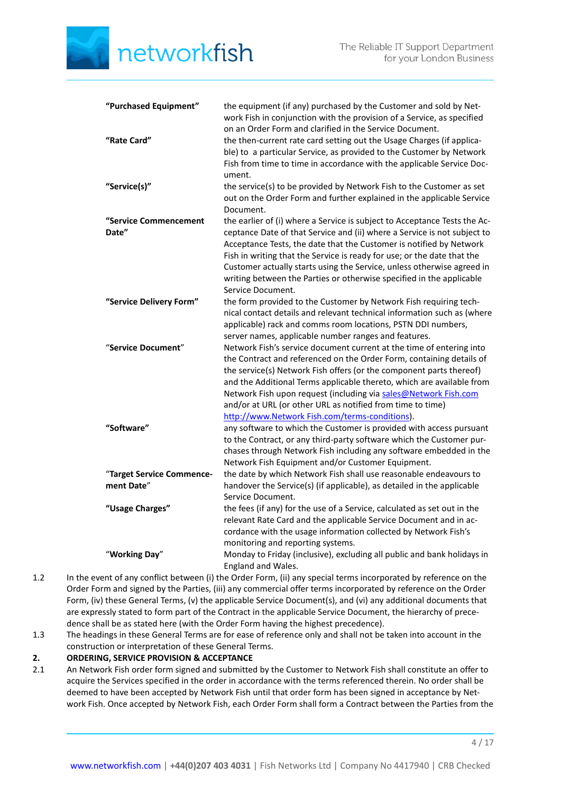| "Purchased Equipment"          | the equipment (if any) purchased by the Customer and sold by Net-<br>work Fish in conjunction with the provision of a Service, as specified<br>on an Order Form and clarified in the Service Document.                                                                                                                                                                                                                                                                          |
|--------------------------------|---------------------------------------------------------------------------------------------------------------------------------------------------------------------------------------------------------------------------------------------------------------------------------------------------------------------------------------------------------------------------------------------------------------------------------------------------------------------------------|
| "Rate Card"                    | the then-current rate card setting out the Usage Charges (if applica-<br>ble) to a particular Service, as provided to the Customer by Network<br>Fish from time to time in accordance with the applicable Service Doc-<br>ument.                                                                                                                                                                                                                                                |
| "Service(s)"                   | the service(s) to be provided by Network Fish to the Customer as set<br>out on the Order Form and further explained in the applicable Service<br>Document.                                                                                                                                                                                                                                                                                                                      |
| "Service Commencement<br>Date" | the earlier of (i) where a Service is subject to Acceptance Tests the Ac-<br>ceptance Date of that Service and (ii) where a Service is not subject to<br>Acceptance Tests, the date that the Customer is notified by Network<br>Fish in writing that the Service is ready for use; or the date that the<br>Customer actually starts using the Service, unless otherwise agreed in<br>writing between the Parties or otherwise specified in the applicable<br>Service Document.  |
| "Service Delivery Form"        | the form provided to the Customer by Network Fish requiring tech-<br>nical contact details and relevant technical information such as (where<br>applicable) rack and comms room locations, PSTN DDI numbers,<br>server names, applicable number ranges and features.                                                                                                                                                                                                            |
| "Service Document"             | Network Fish's service document current at the time of entering into<br>the Contract and referenced on the Order Form, containing details of<br>the service(s) Network Fish offers (or the component parts thereof)<br>and the Additional Terms applicable thereto, which are available from<br>Network Fish upon request (including via sales@Network Fish.com<br>and/or at URL (or other URL as notified from time to time)<br>http://www.Network Fish.com/terms-conditions). |
| "Software"                     | any software to which the Customer is provided with access pursuant<br>to the Contract, or any third-party software which the Customer pur-<br>chases through Network Fish including any software embedded in the<br>Network Fish Equipment and/or Customer Equipment.                                                                                                                                                                                                          |
| "Target Service Commence-      | the date by which Network Fish shall use reasonable endeavours to                                                                                                                                                                                                                                                                                                                                                                                                               |
| ment Date"                     | handover the Service(s) (if applicable), as detailed in the applicable<br>Service Document.                                                                                                                                                                                                                                                                                                                                                                                     |
| "Usage Charges"                | the fees (if any) for the use of a Service, calculated as set out in the<br>relevant Rate Card and the applicable Service Document and in ac-<br>cordance with the usage information collected by Network Fish's<br>monitoring and reporting systems.                                                                                                                                                                                                                           |
| "Working Day"                  | Monday to Friday (inclusive), excluding all public and bank holidays in<br>England and Wales.                                                                                                                                                                                                                                                                                                                                                                                   |

- 1.2 In the event of any conflict between (i) the Order Form, (ii) any special terms incorporated by reference on the Order Form and signed by the Parties, (iii) any commercial offer terms incorporated by reference on the Order Form, (iv) these General Terms, (v) the applicable Service Document(s), and (vi) any additional documents that are expressly stated to form part of the Contract in the applicable Service Document, the hierarchy of precedence shall be as stated here (with the Order Form having the highest precedence).
- 1.3 The headings in these General Terms are for ease of reference only and shall not be taken into account in the construction or interpretation of these General Terms.

# **2. ORDERING, SERVICE PROVISION & ACCEPTANCE**

2.1 An Network Fish order form signed and submitted by the Customer to Network Fish shall constitute an offer to acquire the Services specified in the order in accordance with the terms referenced therein. No order shall be deemed to have been accepted by Network Fish until that order form has been signed in acceptance by Network Fish. Once accepted by Network Fish, each Order Form shall form a Contract between the Parties from the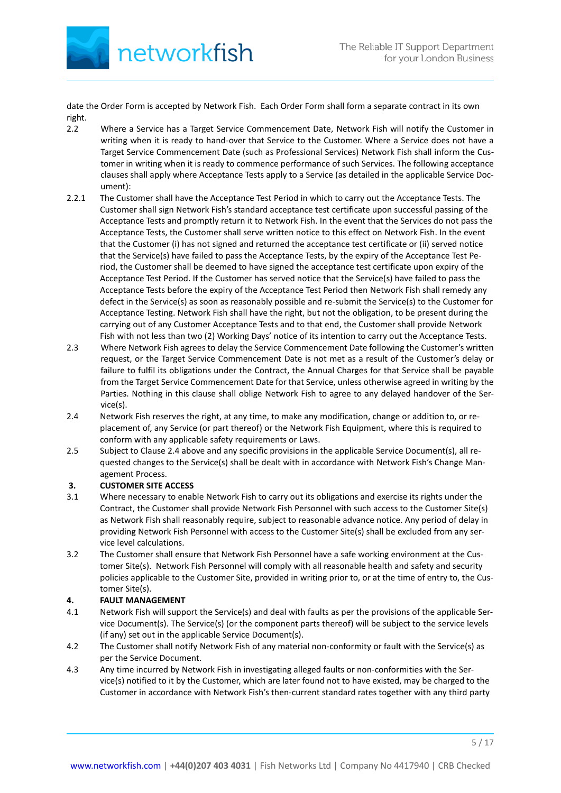

date the Order Form is accepted by Network Fish. Each Order Form shall form a separate contract in its own right.

- 2.2 Where a Service has a Target Service Commencement Date, Network Fish will notify the Customer in writing when it is ready to hand-over that Service to the Customer. Where a Service does not have a Target Service Commencement Date (such as Professional Services) Network Fish shall inform the Customer in writing when it is ready to commence performance of such Services. The following acceptance clauses shall apply where Acceptance Tests apply to a Service (as detailed in the applicable Service Document):
- 2.2.1 The Customer shall have the Acceptance Test Period in which to carry out the Acceptance Tests. The Customer shall sign Network Fish's standard acceptance test certificate upon successful passing of the Acceptance Tests and promptly return it to Network Fish. In the event that the Services do not pass the Acceptance Tests, the Customer shall serve written notice to this effect on Network Fish. In the event that the Customer (i) has not signed and returned the acceptance test certificate or (ii) served notice that the Service(s) have failed to pass the Acceptance Tests, by the expiry of the Acceptance Test Period, the Customer shall be deemed to have signed the acceptance test certificate upon expiry of the Acceptance Test Period. If the Customer has served notice that the Service(s) have failed to pass the Acceptance Tests before the expiry of the Acceptance Test Period then Network Fish shall remedy any defect in the Service(s) as soon as reasonably possible and re-submit the Service(s) to the Customer for Acceptance Testing. Network Fish shall have the right, but not the obligation, to be present during the carrying out of any Customer Acceptance Tests and to that end, the Customer shall provide Network Fish with not less than two (2) Working Days' notice of its intention to carry out the Acceptance Tests.
- 2.3 Where Network Fish agrees to delay the Service Commencement Date following the Customer's written request, or the Target Service Commencement Date is not met as a result of the Customer's delay or failure to fulfil its obligations under the Contract, the Annual Charges for that Service shall be payable from the Target Service Commencement Date for that Service, unless otherwise agreed in writing by the Parties. Nothing in this clause shall oblige Network Fish to agree to any delayed handover of the Service(s).
- 2.4 Network Fish reserves the right, at any time, to make any modification, change or addition to, or replacement of, any Service (or part thereof) or the Network Fish Equipment, where this is required to conform with any applicable safety requirements or Laws.
- 2.5 Subject to Clause 2.4 above and any specific provisions in the applicable Service Document(s), all requested changes to the Service(s) shall be dealt with in accordance with Network Fish's Change Management Process.

# **3. CUSTOMER SITE ACCESS**

- 3.1 Where necessary to enable Network Fish to carry out its obligations and exercise its rights under the Contract, the Customer shall provide Network Fish Personnel with such access to the Customer Site(s) as Network Fish shall reasonably require, subject to reasonable advance notice. Any period of delay in providing Network Fish Personnel with access to the Customer Site(s) shall be excluded from any service level calculations.
- 3.2 The Customer shall ensure that Network Fish Personnel have a safe working environment at the Customer Site(s). Network Fish Personnel will comply with all reasonable health and safety and security policies applicable to the Customer Site, provided in writing prior to, or at the time of entry to, the Customer Site(s).

# **4. FAULT MANAGEMENT**

- 4.1 Network Fish will support the Service(s) and deal with faults as per the provisions of the applicable Service Document(s). The Service(s) (or the component parts thereof) will be subject to the service levels (if any) set out in the applicable Service Document(s).
- 4.2 The Customer shall notify Network Fish of any material non-conformity or fault with the Service(s) as per the Service Document.
- 4.3 Any time incurred by Network Fish in investigating alleged faults or non-conformities with the Service(s) notified to it by the Customer, which are later found not to have existed, may be charged to the Customer in accordance with Network Fish's then-current standard rates together with any third party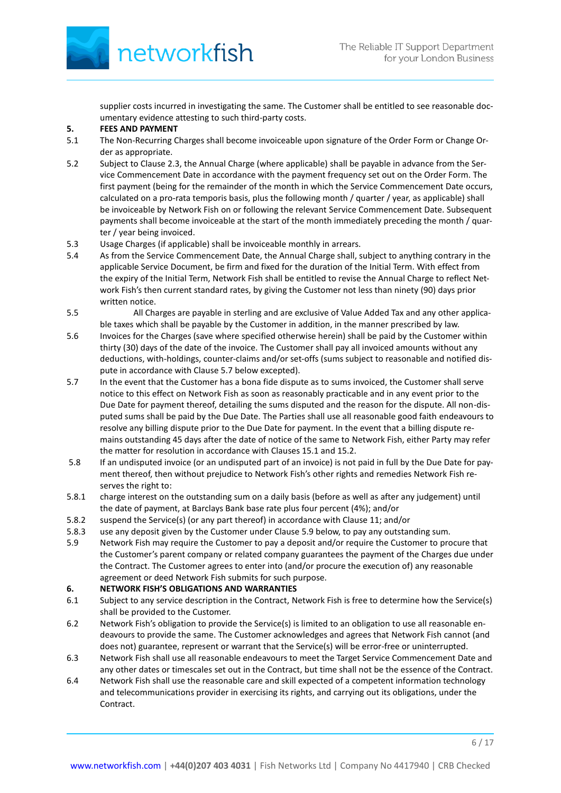

supplier costs incurred in investigating the same. The Customer shall be entitled to see reasonable documentary evidence attesting to such third-party costs.

# **5. FEES AND PAYMENT**<br>5.1 The Non-Recurring C

- The Non-Recurring Charges shall become invoiceable upon signature of the Order Form or Change Order as appropriate.
- 5.2 Subject to Clause 2.3, the Annual Charge (where applicable) shall be payable in advance from the Service Commencement Date in accordance with the payment frequency set out on the Order Form. The first payment (being for the remainder of the month in which the Service Commencement Date occurs, calculated on a pro-rata temporis basis, plus the following month / quarter / year, as applicable) shall be invoiceable by Network Fish on or following the relevant Service Commencement Date. Subsequent payments shall become invoiceable at the start of the month immediately preceding the month / quarter / year being invoiced.
- 5.3 Usage Charges (if applicable) shall be invoiceable monthly in arrears.
- 5.4 As from the Service Commencement Date, the Annual Charge shall, subject to anything contrary in the applicable Service Document, be firm and fixed for the duration of the Initial Term. With effect from the expiry of the Initial Term, Network Fish shall be entitled to revise the Annual Charge to reflect Network Fish's then current standard rates, by giving the Customer not less than ninety (90) days prior written notice.
- 5.5 All Charges are payable in sterling and are exclusive of Value Added Tax and any other applicable taxes which shall be payable by the Customer in addition, in the manner prescribed by law.
- 5.6 Invoices for the Charges (save where specified otherwise herein) shall be paid by the Customer within thirty (30) days of the date of the invoice. The Customer shall pay all invoiced amounts without any deductions, with-holdings, counter-claims and/or set-offs (sums subject to reasonable and notified dispute in accordance with Clause 5.7 below excepted).
- 5.7 In the event that the Customer has a bona fide dispute as to sums invoiced, the Customer shall serve notice to this effect on Network Fish as soon as reasonably practicable and in any event prior to the Due Date for payment thereof, detailing the sums disputed and the reason for the dispute. All non-disputed sums shall be paid by the Due Date. The Parties shall use all reasonable good faith endeavours to resolve any billing dispute prior to the Due Date for payment. In the event that a billing dispute remains outstanding 45 days after the date of notice of the same to Network Fish, either Party may refer the matter for resolution in accordance with Clauses 15.1 and 15.2.
- 5.8 If an undisputed invoice (or an undisputed part of an invoice) is not paid in full by the Due Date for payment thereof, then without prejudice to Network Fish's other rights and remedies Network Fish reserves the right to:
- 5.8.1 charge interest on the outstanding sum on a daily basis (before as well as after any judgement) until the date of payment, at Barclays Bank base rate plus four percent (4%); and/or
- 5.8.2 suspend the Service(s) (or any part thereof) in accordance with Clause 11; and/or
- 5.8.3 use any deposit given by the Customer under Clause 5.9 below, to pay any outstanding sum.
- 5.9 Network Fish may require the Customer to pay a deposit and/or require the Customer to procure that the Customer's parent company or related company guarantees the payment of the Charges due under the Contract. The Customer agrees to enter into (and/or procure the execution of) any reasonable agreement or deed Network Fish submits for such purpose.

## **6. NETWORK FISH'S OBLIGATIONS AND WARRANTIES**

- 6.1 Subject to any service description in the Contract, Network Fish is free to determine how the Service(s) shall be provided to the Customer.
- 6.2 Network Fish's obligation to provide the Service(s) is limited to an obligation to use all reasonable endeavours to provide the same. The Customer acknowledges and agrees that Network Fish cannot (and does not) guarantee, represent or warrant that the Service(s) will be error-free or uninterrupted.
- 6.3 Network Fish shall use all reasonable endeavours to meet the Target Service Commencement Date and any other dates or timescales set out in the Contract, but time shall not be the essence of the Contract.
- 6.4 Network Fish shall use the reasonable care and skill expected of a competent information technology and telecommunications provider in exercising its rights, and carrying out its obligations, under the Contract.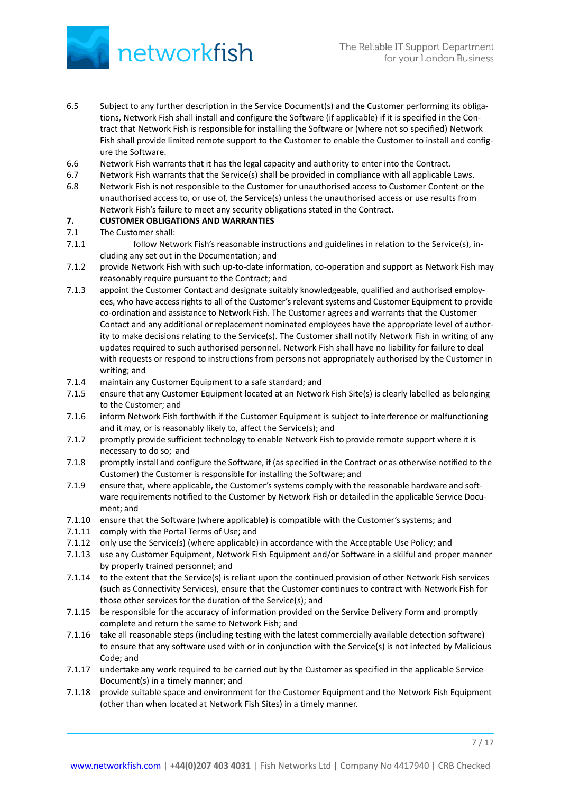

- 6.5 Subject to any further description in the Service Document(s) and the Customer performing its obligations, Network Fish shall install and configure the Software (if applicable) if it is specified in the Contract that Network Fish is responsible for installing the Software or (where not so specified) Network Fish shall provide limited remote support to the Customer to enable the Customer to install and configure the Software.
- 6.6 Network Fish warrants that it has the legal capacity and authority to enter into the Contract.
- 6.7 Network Fish warrants that the Service(s) shall be provided in compliance with all applicable Laws.
- 6.8 Network Fish is not responsible to the Customer for unauthorised access to Customer Content or the unauthorised access to, or use of, the Service(s) unless the unauthorised access or use results from Network Fish's failure to meet any security obligations stated in the Contract.

## **7. CUSTOMER OBLIGATIONS AND WARRANTIES**

- 7.1 The Customer shall:
- 7.1.1 follow Network Fish's reasonable instructions and guidelines in relation to the Service(s), including any set out in the Documentation; and
- 7.1.2 provide Network Fish with such up-to-date information, co-operation and support as Network Fish may reasonably require pursuant to the Contract; and
- 7.1.3 appoint the Customer Contact and designate suitably knowledgeable, qualified and authorised employees, who have access rights to all of the Customer's relevant systems and Customer Equipment to provide co-ordination and assistance to Network Fish. The Customer agrees and warrants that the Customer Contact and any additional or replacement nominated employees have the appropriate level of authority to make decisions relating to the Service(s). The Customer shall notify Network Fish in writing of any updates required to such authorised personnel. Network Fish shall have no liability for failure to deal with requests or respond to instructions from persons not appropriately authorised by the Customer in writing; and
- 7.1.4 maintain any Customer Equipment to a safe standard; and
- 7.1.5 ensure that any Customer Equipment located at an Network Fish Site(s) is clearly labelled as belonging to the Customer; and
- 7.1.6 inform Network Fish forthwith if the Customer Equipment is subject to interference or malfunctioning and it may, or is reasonably likely to, affect the Service(s); and
- 7.1.7 promptly provide sufficient technology to enable Network Fish to provide remote support where it is necessary to do so; and
- 7.1.8 promptly install and configure the Software, if (as specified in the Contract or as otherwise notified to the Customer) the Customer is responsible for installing the Software; and
- 7.1.9 ensure that, where applicable, the Customer's systems comply with the reasonable hardware and software requirements notified to the Customer by Network Fish or detailed in the applicable Service Document; and
- 7.1.10 ensure that the Software (where applicable) is compatible with the Customer's systems; and
- 7.1.11 comply with the Portal Terms of Use; and
- 7.1.12 only use the Service(s) (where applicable) in accordance with the Acceptable Use Policy; and
- 7.1.13 use any Customer Equipment, Network Fish Equipment and/or Software in a skilful and proper manner by properly trained personnel; and
- 7.1.14 to the extent that the Service(s) is reliant upon the continued provision of other Network Fish services (such as Connectivity Services), ensure that the Customer continues to contract with Network Fish for those other services for the duration of the Service(s); and
- 7.1.15 be responsible for the accuracy of information provided on the Service Delivery Form and promptly complete and return the same to Network Fish; and
- 7.1.16 take all reasonable steps (including testing with the latest commercially available detection software) to ensure that any software used with or in conjunction with the Service(s) is not infected by Malicious Code; and
- 7.1.17 undertake any work required to be carried out by the Customer as specified in the applicable Service Document(s) in a timely manner; and
- 7.1.18 provide suitable space and environment for the Customer Equipment and the Network Fish Equipment (other than when located at Network Fish Sites) in a timely manner.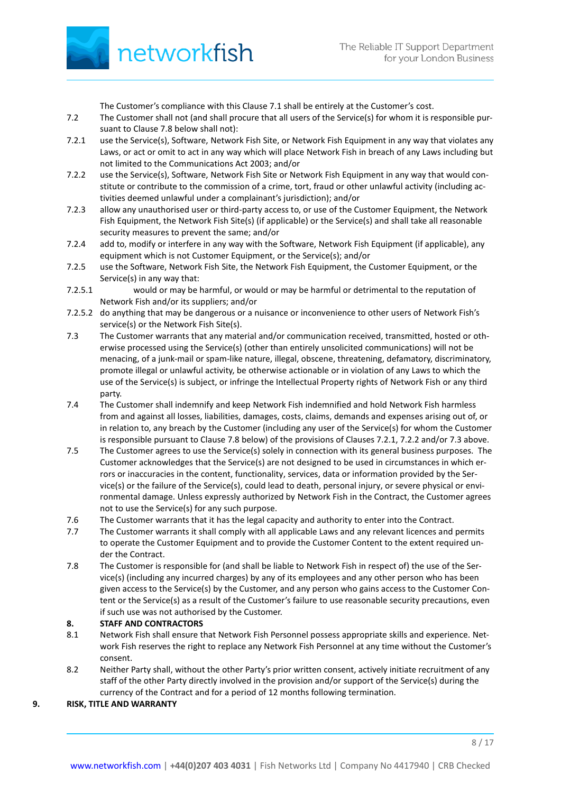

The Customer's compliance with this Clause 7.1 shall be entirely at the Customer's cost.

- 7.2 The Customer shall not (and shall procure that all users of the Service(s) for whom it is responsible pursuant to Clause 7.8 below shall not):
- 7.2.1 use the Service(s), Software, Network Fish Site, or Network Fish Equipment in any way that violates any Laws, or act or omit to act in any way which will place Network Fish in breach of any Laws including but not limited to the Communications Act 2003; and/or
- 7.2.2 use the Service(s), Software, Network Fish Site or Network Fish Equipment in any way that would constitute or contribute to the commission of a crime, tort, fraud or other unlawful activity (including activities deemed unlawful under a complainant's jurisdiction); and/or
- 7.2.3 allow any unauthorised user or third-party access to, or use of the Customer Equipment, the Network Fish Equipment, the Network Fish Site(s) (if applicable) or the Service(s) and shall take all reasonable security measures to prevent the same; and/or
- 7.2.4 add to, modify or interfere in any way with the Software, Network Fish Equipment (if applicable), any equipment which is not Customer Equipment, or the Service(s); and/or
- 7.2.5 use the Software, Network Fish Site, the Network Fish Equipment, the Customer Equipment, or the Service(s) in any way that:
- 7.2.5.1 would or may be harmful, or would or may be harmful or detrimental to the reputation of Network Fish and/or its suppliers; and/or
- 7.2.5.2 do anything that may be dangerous or a nuisance or inconvenience to other users of Network Fish's service(s) or the Network Fish Site(s).
- 7.3 The Customer warrants that any material and/or communication received, transmitted, hosted or otherwise processed using the Service(s) (other than entirely unsolicited communications) will not be menacing, of a junk-mail or spam-like nature, illegal, obscene, threatening, defamatory, discriminatory, promote illegal or unlawful activity, be otherwise actionable or in violation of any Laws to which the use of the Service(s) is subject, or infringe the Intellectual Property rights of Network Fish or any third party.
- 7.4 The Customer shall indemnify and keep Network Fish indemnified and hold Network Fish harmless from and against all losses, liabilities, damages, costs, claims, demands and expenses arising out of, or in relation to, any breach by the Customer (including any user of the Service(s) for whom the Customer is responsible pursuant to Clause 7.8 below) of the provisions of Clauses 7.2.1, 7.2.2 and/or 7.3 above.
- 7.5 The Customer agrees to use the Service(s) solely in connection with its general business purposes. The Customer acknowledges that the Service(s) are not designed to be used in circumstances in which errors or inaccuracies in the content, functionality, services, data or information provided by the Service(s) or the failure of the Service(s), could lead to death, personal injury, or severe physical or environmental damage. Unless expressly authorized by Network Fish in the Contract, the Customer agrees not to use the Service(s) for any such purpose.
- 7.6 The Customer warrants that it has the legal capacity and authority to enter into the Contract.
- 7.7 The Customer warrants it shall comply with all applicable Laws and any relevant licences and permits to operate the Customer Equipment and to provide the Customer Content to the extent required under the Contract.
- 7.8 The Customer is responsible for (and shall be liable to Network Fish in respect of) the use of the Service(s) (including any incurred charges) by any of its employees and any other person who has been given access to the Service(s) by the Customer, and any person who gains access to the Customer Content or the Service(s) as a result of the Customer's failure to use reasonable security precautions, even if such use was not authorised by the Customer.

### **8. STAFF AND CONTRACTORS**

- 8.1 Network Fish shall ensure that Network Fish Personnel possess appropriate skills and experience. Network Fish reserves the right to replace any Network Fish Personnel at any time without the Customer's consent.
- 8.2 Neither Party shall, without the other Party's prior written consent, actively initiate recruitment of any staff of the other Party directly involved in the provision and/or support of the Service(s) during the currency of the Contract and for a period of 12 months following termination.

# **9. RISK, TITLE AND WARRANTY**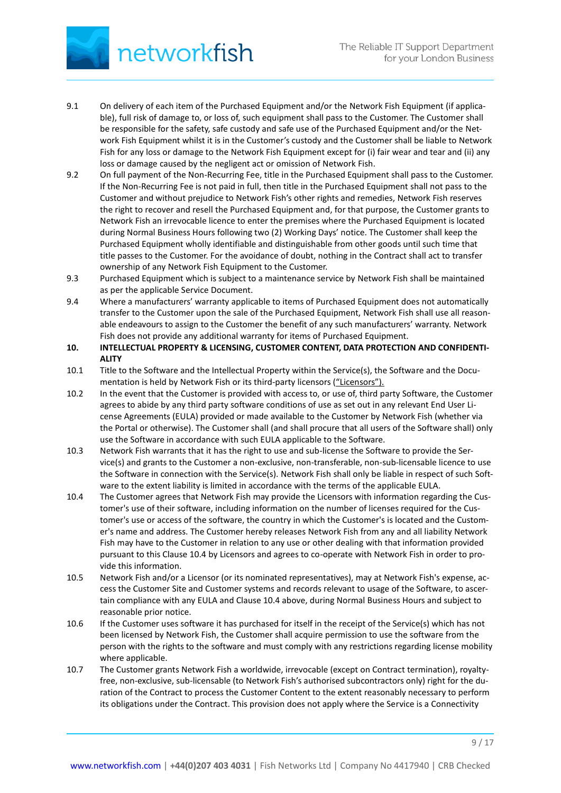

- 9.1 On delivery of each item of the Purchased Equipment and/or the Network Fish Equipment (if applicable), full risk of damage to, or loss of, such equipment shall pass to the Customer. The Customer shall be responsible for the safety, safe custody and safe use of the Purchased Equipment and/or the Network Fish Equipment whilst it is in the Customer's custody and the Customer shall be liable to Network Fish for any loss or damage to the Network Fish Equipment except for (i) fair wear and tear and (ii) any loss or damage caused by the negligent act or omission of Network Fish.
- 9.2 On full payment of the Non-Recurring Fee, title in the Purchased Equipment shall pass to the Customer. If the Non-Recurring Fee is not paid in full, then title in the Purchased Equipment shall not pass to the Customer and without prejudice to Network Fish's other rights and remedies, Network Fish reserves the right to recover and resell the Purchased Equipment and, for that purpose, the Customer grants to Network Fish an irrevocable licence to enter the premises where the Purchased Equipment is located during Normal Business Hours following two (2) Working Days' notice. The Customer shall keep the Purchased Equipment wholly identifiable and distinguishable from other goods until such time that title passes to the Customer. For the avoidance of doubt, nothing in the Contract shall act to transfer ownership of any Network Fish Equipment to the Customer.
- 9.3 Purchased Equipment which is subject to a maintenance service by Network Fish shall be maintained as per the applicable Service Document.
- 9.4 Where a manufacturers' warranty applicable to items of Purchased Equipment does not automatically transfer to the Customer upon the sale of the Purchased Equipment, Network Fish shall use all reasonable endeavours to assign to the Customer the benefit of any such manufacturers' warranty. Network Fish does not provide any additional warranty for items of Purchased Equipment.
- **10. INTELLECTUAL PROPERTY & LICENSING, CUSTOMER CONTENT, DATA PROTECTION AND CONFIDENTI-ALITY**
- 10.1 Title to the Software and the Intellectual Property within the Service(s), the Software and the Documentation is held by Network Fish or its third-party licensors ("Licensors").
- 10.2 In the event that the Customer is provided with access to, or use of, third party Software, the Customer agrees to abide by any third party software conditions of use as set out in any relevant End User License Agreements (EULA) provided or made available to the Customer by Network Fish (whether via the Portal or otherwise). The Customer shall (and shall procure that all users of the Software shall) only use the Software in accordance with such EULA applicable to the Software.
- 10.3 Network Fish warrants that it has the right to use and sub-license the Software to provide the Service(s) and grants to the Customer a non-exclusive, non-transferable, non-sub-licensable licence to use the Software in connection with the Service(s). Network Fish shall only be liable in respect of such Software to the extent liability is limited in accordance with the terms of the applicable EULA.
- 10.4 The Customer agrees that Network Fish may provide the Licensors with information regarding the Customer's use of their software, including information on the number of licenses required for the Customer's use or access of the software, the country in which the Customer's is located and the Customer's name and address. The Customer hereby releases Network Fish from any and all liability Network Fish may have to the Customer in relation to any use or other dealing with that information provided pursuant to this Clause 10.4 by Licensors and agrees to co-operate with Network Fish in order to provide this information.
- 10.5 Network Fish and/or a Licensor (or its nominated representatives), may at Network Fish's expense, access the Customer Site and Customer systems and records relevant to usage of the Software, to ascertain compliance with any EULA and Clause 10.4 above, during Normal Business Hours and subject to reasonable prior notice.
- 10.6 If the Customer uses software it has purchased for itself in the receipt of the Service(s) which has not been licensed by Network Fish, the Customer shall acquire permission to use the software from the person with the rights to the software and must comply with any restrictions regarding license mobility where applicable.
- 10.7 The Customer grants Network Fish a worldwide, irrevocable (except on Contract termination), royaltyfree, non-exclusive, sub-licensable (to Network Fish's authorised subcontractors only) right for the duration of the Contract to process the Customer Content to the extent reasonably necessary to perform its obligations under the Contract. This provision does not apply where the Service is a Connectivity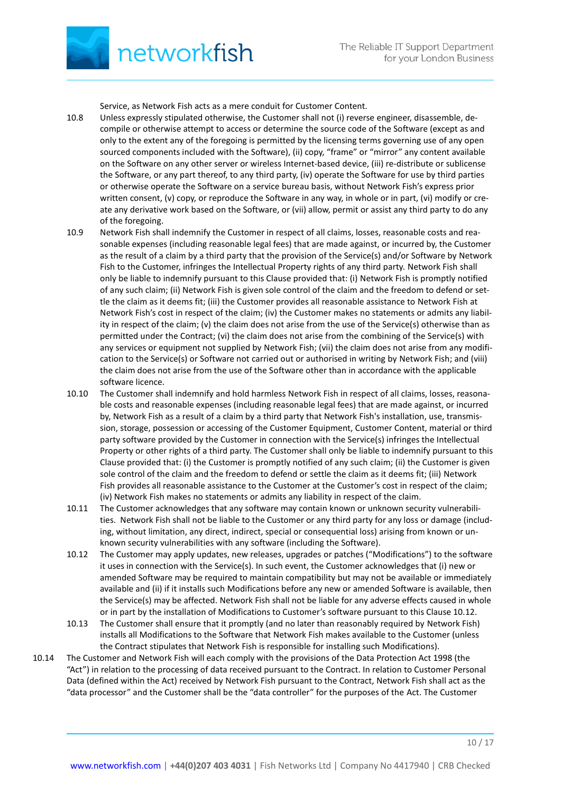Service, as Network Fish acts as a mere conduit for Customer Content.

- 10.8 Unless expressly stipulated otherwise, the Customer shall not (i) reverse engineer, disassemble, decompile or otherwise attempt to access or determine the source code of the Software (except as and only to the extent any of the foregoing is permitted by the licensing terms governing use of any open sourced components included with the Software), (ii) copy, "frame" or "mirror" any content available on the Software on any other server or wireless Internet-based device, (iii) re-distribute or sublicense the Software, or any part thereof, to any third party, (iv) operate the Software for use by third parties or otherwise operate the Software on a service bureau basis, without Network Fish's express prior written consent, (v) copy, or reproduce the Software in any way, in whole or in part, (vi) modify or create any derivative work based on the Software, or (vii) allow, permit or assist any third party to do any of the foregoing.
- 10.9 Network Fish shall indemnify the Customer in respect of all claims, losses, reasonable costs and reasonable expenses (including reasonable legal fees) that are made against, or incurred by, the Customer as the result of a claim by a third party that the provision of the Service(s) and/or Software by Network Fish to the Customer, infringes the Intellectual Property rights of any third party. Network Fish shall only be liable to indemnify pursuant to this Clause provided that: (i) Network Fish is promptly notified of any such claim; (ii) Network Fish is given sole control of the claim and the freedom to defend or settle the claim as it deems fit; (iii) the Customer provides all reasonable assistance to Network Fish at Network Fish's cost in respect of the claim; (iv) the Customer makes no statements or admits any liability in respect of the claim; (v) the claim does not arise from the use of the Service(s) otherwise than as permitted under the Contract; (vi) the claim does not arise from the combining of the Service(s) with any services or equipment not supplied by Network Fish; (vii) the claim does not arise from any modification to the Service(s) or Software not carried out or authorised in writing by Network Fish; and (viii) the claim does not arise from the use of the Software other than in accordance with the applicable software licence.
- 10.10 The Customer shall indemnify and hold harmless Network Fish in respect of all claims, losses, reasonable costs and reasonable expenses (including reasonable legal fees) that are made against, or incurred by, Network Fish as a result of a claim by a third party that Network Fish's installation, use, transmission, storage, possession or accessing of the Customer Equipment, Customer Content, material or third party software provided by the Customer in connection with the Service(s) infringes the Intellectual Property or other rights of a third party. The Customer shall only be liable to indemnify pursuant to this Clause provided that: (i) the Customer is promptly notified of any such claim; (ii) the Customer is given sole control of the claim and the freedom to defend or settle the claim as it deems fit; (iii) Network Fish provides all reasonable assistance to the Customer at the Customer's cost in respect of the claim; (iv) Network Fish makes no statements or admits any liability in respect of the claim.
- 10.11 The Customer acknowledges that any software may contain known or unknown security vulnerabilities. Network Fish shall not be liable to the Customer or any third party for any loss or damage (including, without limitation, any direct, indirect, special or consequential loss) arising from known or unknown security vulnerabilities with any software (including the Software).
- 10.12 The Customer may apply updates, new releases, upgrades or patches ("Modifications") to the software it uses in connection with the Service(s). In such event, the Customer acknowledges that (i) new or amended Software may be required to maintain compatibility but may not be available or immediately available and (ii) if it installs such Modifications before any new or amended Software is available, then the Service(s) may be affected. Network Fish shall not be liable for any adverse effects caused in whole or in part by the installation of Modifications to Customer's software pursuant to this Clause 10.12.
- 10.13 The Customer shall ensure that it promptly (and no later than reasonably required by Network Fish) installs all Modifications to the Software that Network Fish makes available to the Customer (unless the Contract stipulates that Network Fish is responsible for installing such Modifications).
- 10.14 The Customer and Network Fish will each comply with the provisions of the Data Protection Act 1998 (the "Act") in relation to the processing of data received pursuant to the Contract. In relation to Customer Personal Data (defined within the Act) received by Network Fish pursuant to the Contract, Network Fish shall act as the "data processor" and the Customer shall be the "data controller" for the purposes of the Act. The Customer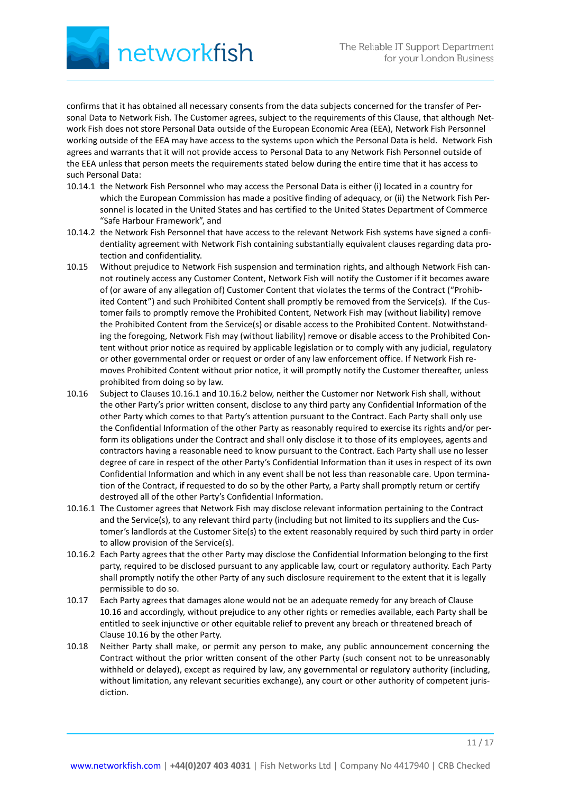

confirms that it has obtained all necessary consents from the data subjects concerned for the transfer of Personal Data to Network Fish. The Customer agrees, subject to the requirements of this Clause, that although Network Fish does not store Personal Data outside of the European Economic Area (EEA), Network Fish Personnel working outside of the EEA may have access to the systems upon which the Personal Data is held. Network Fish agrees and warrants that it will not provide access to Personal Data to any Network Fish Personnel outside of the EEA unless that person meets the requirements stated below during the entire time that it has access to such Personal Data:

- 10.14.1 the Network Fish Personnel who may access the Personal Data is either (i) located in a country for which the European Commission has made a positive finding of adequacy, or (ii) the Network Fish Personnel is located in the United States and has certified to the United States Department of Commerce "Safe Harbour Framework", and
- 10.14.2 the Network Fish Personnel that have access to the relevant Network Fish systems have signed a confidentiality agreement with Network Fish containing substantially equivalent clauses regarding data protection and confidentiality.
- 10.15 Without prejudice to Network Fish suspension and termination rights, and although Network Fish cannot routinely access any Customer Content, Network Fish will notify the Customer if it becomes aware of (or aware of any allegation of) Customer Content that violates the terms of the Contract ("Prohibited Content") and such Prohibited Content shall promptly be removed from the Service(s). If the Customer fails to promptly remove the Prohibited Content, Network Fish may (without liability) remove the Prohibited Content from the Service(s) or disable access to the Prohibited Content. Notwithstanding the foregoing, Network Fish may (without liability) remove or disable access to the Prohibited Content without prior notice as required by applicable legislation or to comply with any judicial, regulatory or other governmental order or request or order of any law enforcement office. If Network Fish removes Prohibited Content without prior notice, it will promptly notify the Customer thereafter, unless prohibited from doing so by law.
- 10.16 Subject to Clauses 10.16.1 and 10.16.2 below, neither the Customer nor Network Fish shall, without the other Party's prior written consent, disclose to any third party any Confidential Information of the other Party which comes to that Party's attention pursuant to the Contract. Each Party shall only use the Confidential Information of the other Party as reasonably required to exercise its rights and/or perform its obligations under the Contract and shall only disclose it to those of its employees, agents and contractors having a reasonable need to know pursuant to the Contract. Each Party shall use no lesser degree of care in respect of the other Party's Confidential Information than it uses in respect of its own Confidential Information and which in any event shall be not less than reasonable care. Upon termination of the Contract, if requested to do so by the other Party, a Party shall promptly return or certify destroyed all of the other Party's Confidential Information.
- 10.16.1 The Customer agrees that Network Fish may disclose relevant information pertaining to the Contract and the Service(s), to any relevant third party (including but not limited to its suppliers and the Customer's landlords at the Customer Site(s) to the extent reasonably required by such third party in order to allow provision of the Service(s).
- 10.16.2 Each Party agrees that the other Party may disclose the Confidential Information belonging to the first party, required to be disclosed pursuant to any applicable law, court or regulatory authority. Each Party shall promptly notify the other Party of any such disclosure requirement to the extent that it is legally permissible to do so.
- 10.17 Each Party agrees that damages alone would not be an adequate remedy for any breach of Clause 10.16 and accordingly, without prejudice to any other rights or remedies available, each Party shall be entitled to seek injunctive or other equitable relief to prevent any breach or threatened breach of Clause 10.16 by the other Party.
- 10.18 Neither Party shall make, or permit any person to make, any public announcement concerning the Contract without the prior written consent of the other Party (such consent not to be unreasonably withheld or delayed), except as required by law, any governmental or regulatory authority (including, without limitation, any relevant securities exchange), any court or other authority of competent jurisdiction.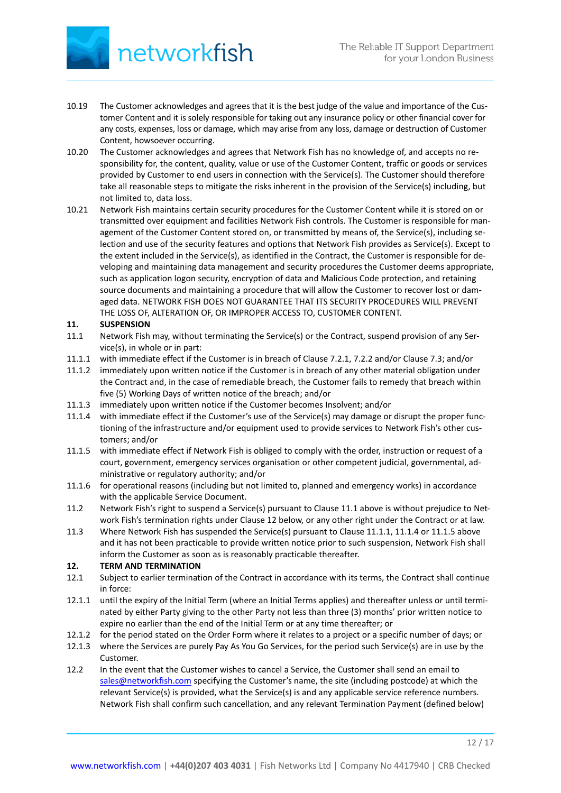

- 10.19 The Customer acknowledges and agrees that it is the best judge of the value and importance of the Customer Content and it is solely responsible for taking out any insurance policy or other financial cover for any costs, expenses, loss or damage, which may arise from any loss, damage or destruction of Customer Content, howsoever occurring.
- 10.20 The Customer acknowledges and agrees that Network Fish has no knowledge of, and accepts no responsibility for, the content, quality, value or use of the Customer Content, traffic or goods or services provided by Customer to end users in connection with the Service(s). The Customer should therefore take all reasonable steps to mitigate the risks inherent in the provision of the Service(s) including, but not limited to, data loss.
- 10.21 Network Fish maintains certain security procedures for the Customer Content while it is stored on or transmitted over equipment and facilities Network Fish controls. The Customer is responsible for management of the Customer Content stored on, or transmitted by means of, the Service(s), including selection and use of the security features and options that Network Fish provides as Service(s). Except to the extent included in the Service(s), as identified in the Contract, the Customer is responsible for developing and maintaining data management and security procedures the Customer deems appropriate, such as application logon security, encryption of data and Malicious Code protection, and retaining source documents and maintaining a procedure that will allow the Customer to recover lost or damaged data. NETWORK FISH DOES NOT GUARANTEE THAT ITS SECURITY PROCEDURES WILL PREVENT THE LOSS OF, ALTERATION OF, OR IMPROPER ACCESS TO, CUSTOMER CONTENT.

## **11. SUSPENSION**

- 11.1 Network Fish may, without terminating the Service(s) or the Contract, suspend provision of any Service(s), in whole or in part:
- 11.1.1 with immediate effect if the Customer is in breach of Clause 7.2.1, 7.2.2 and/or Clause 7.3; and/or
- 11.1.2 immediately upon written notice if the Customer is in breach of any other material obligation under the Contract and, in the case of remediable breach, the Customer fails to remedy that breach within five (5) Working Days of written notice of the breach; and/or
- 11.1.3 immediately upon written notice if the Customer becomes Insolvent; and/or
- 11.1.4 with immediate effect if the Customer's use of the Service(s) may damage or disrupt the proper functioning of the infrastructure and/or equipment used to provide services to Network Fish's other customers; and/or
- 11.1.5 with immediate effect if Network Fish is obliged to comply with the order, instruction or request of a court, government, emergency services organisation or other competent judicial, governmental, administrative or regulatory authority; and/or
- 11.1.6 for operational reasons (including but not limited to, planned and emergency works) in accordance with the applicable Service Document.
- 11.2 Network Fish's right to suspend a Service(s) pursuant to Clause 11.1 above is without prejudice to Network Fish's termination rights under Clause 12 below, or any other right under the Contract or at law.
- 11.3 Where Network Fish has suspended the Service(s) pursuant to Clause 11.1.1, 11.1.4 or 11.1.5 above and it has not been practicable to provide written notice prior to such suspension, Network Fish shall inform the Customer as soon as is reasonably practicable thereafter.

### **12. TERM AND TERMINATION**

- 12.1 Subject to earlier termination of the Contract in accordance with its terms, the Contract shall continue in force:
- 12.1.1 until the expiry of the Initial Term (where an Initial Terms applies) and thereafter unless or until terminated by either Party giving to the other Party not less than three (3) months' prior written notice to expire no earlier than the end of the Initial Term or at any time thereafter; or
- 12.1.2 for the period stated on the Order Form where it relates to a project or a specific number of days; or
- 12.1.3 where the Services are purely Pay As You Go Services, for the period such Service(s) are in use by the Customer.
- 12.2 In the event that the Customer wishes to cancel a Service, the Customer shall send an email to [sales@networkfish.com](mailto:sales@networkfish.com) specifying the Customer's name, the site (including postcode) at which the relevant Service(s) is provided, what the Service(s) is and any applicable service reference numbers. Network Fish shall confirm such cancellation, and any relevant Termination Payment (defined below)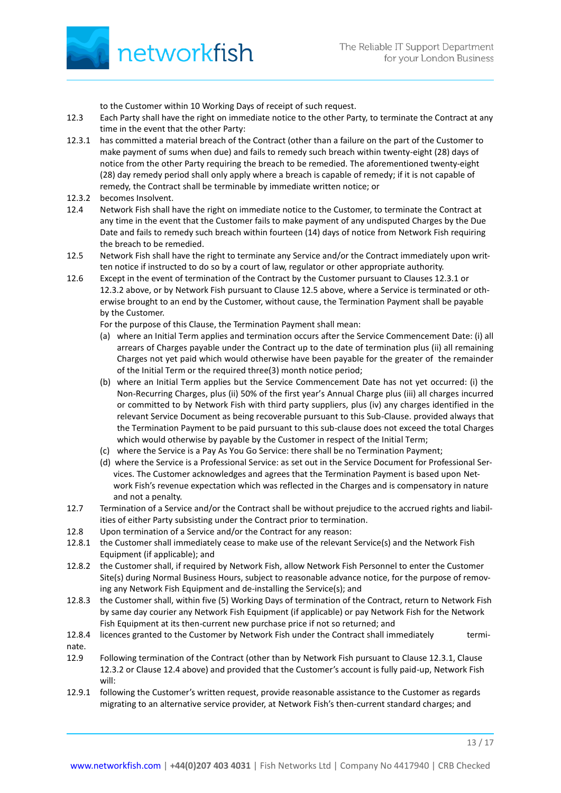to the Customer within 10 Working Days of receipt of such request.

- 12.3 Each Party shall have the right on immediate notice to the other Party, to terminate the Contract at any time in the event that the other Party:
- 12.3.1 has committed a material breach of the Contract (other than a failure on the part of the Customer to make payment of sums when due) and fails to remedy such breach within twenty-eight (28) days of notice from the other Party requiring the breach to be remedied. The aforementioned twenty-eight (28) day remedy period shall only apply where a breach is capable of remedy; if it is not capable of remedy, the Contract shall be terminable by immediate written notice; or
- 12.3.2 becomes Insolvent.
- 12.4 Network Fish shall have the right on immediate notice to the Customer, to terminate the Contract at any time in the event that the Customer fails to make payment of any undisputed Charges by the Due Date and fails to remedy such breach within fourteen (14) days of notice from Network Fish requiring the breach to be remedied.
- 12.5 Network Fish shall have the right to terminate any Service and/or the Contract immediately upon written notice if instructed to do so by a court of law, regulator or other appropriate authority.
- 12.6 Except in the event of termination of the Contract by the Customer pursuant to Clauses 12.3.1 or 12.3.2 above, or by Network Fish pursuant to Clause 12.5 above, where a Service is terminated or otherwise brought to an end by the Customer, without cause, the Termination Payment shall be payable by the Customer.

For the purpose of this Clause, the Termination Payment shall mean:

- (a) where an Initial Term applies and termination occurs after the Service Commencement Date: (i) all arrears of Charges payable under the Contract up to the date of termination plus (ii) all remaining Charges not yet paid which would otherwise have been payable for the greater of the remainder of the Initial Term or the required three(3) month notice period;
- (b) where an Initial Term applies but the Service Commencement Date has not yet occurred: (i) the Non-Recurring Charges, plus (ii) 50% of the first year's Annual Charge plus (iii) all charges incurred or committed to by Network Fish with third party suppliers, plus (iv) any charges identified in the relevant Service Document as being recoverable pursuant to this Sub-Clause. provided always that the Termination Payment to be paid pursuant to this sub-clause does not exceed the total Charges which would otherwise by payable by the Customer in respect of the Initial Term;
- (c) where the Service is a Pay As You Go Service: there shall be no Termination Payment;
- (d) where the Service is a Professional Service: as set out in the Service Document for Professional Services. The Customer acknowledges and agrees that the Termination Payment is based upon Network Fish's revenue expectation which was reflected in the Charges and is compensatory in nature and not a penalty.
- 12.7 Termination of a Service and/or the Contract shall be without prejudice to the accrued rights and liabilities of either Party subsisting under the Contract prior to termination.
- 12.8 Upon termination of a Service and/or the Contract for any reason:
- 12.8.1 the Customer shall immediately cease to make use of the relevant Service(s) and the Network Fish Equipment (if applicable); and
- 12.8.2 the Customer shall, if required by Network Fish, allow Network Fish Personnel to enter the Customer Site(s) during Normal Business Hours, subject to reasonable advance notice, for the purpose of removing any Network Fish Equipment and de-installing the Service(s); and
- 12.8.3 the Customer shall, within five (5) Working Days of termination of the Contract, return to Network Fish by same day courier any Network Fish Equipment (if applicable) or pay Network Fish for the Network Fish Equipment at its then-current new purchase price if not so returned; and
- 12.8.4 licences granted to the Customer by Network Fish under the Contract shall immediately terminate.
- 12.9 Following termination of the Contract (other than by Network Fish pursuant to Clause 12.3.1, Clause 12.3.2 or Clause 12.4 above) and provided that the Customer's account is fully paid-up, Network Fish will:
- 12.9.1 following the Customer's written request, provide reasonable assistance to the Customer as regards migrating to an alternative service provider, at Network Fish's then-current standard charges; and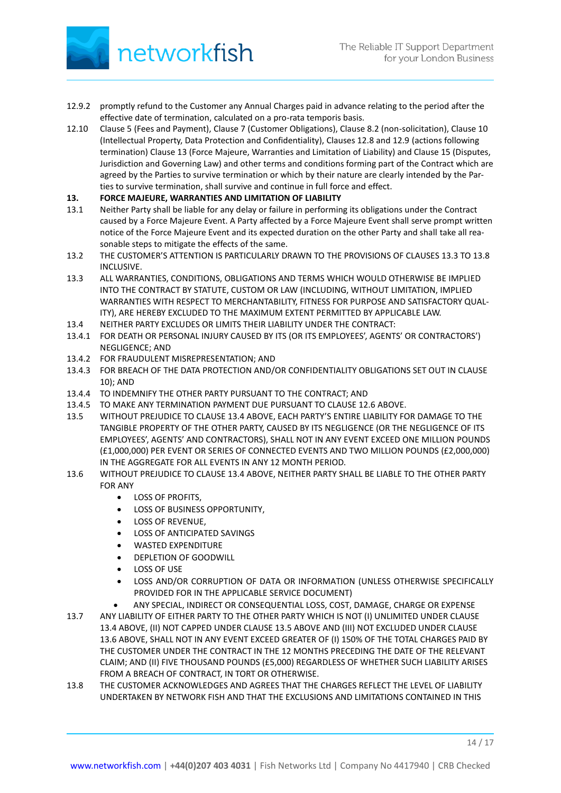

- 12.9.2 promptly refund to the Customer any Annual Charges paid in advance relating to the period after the effective date of termination, calculated on a pro-rata temporis basis.
- 12.10 Clause 5 (Fees and Payment), Clause 7 (Customer Obligations), Clause 8.2 (non-solicitation), Clause 10 (Intellectual Property, Data Protection and Confidentiality), Clauses 12.8 and 12.9 (actions following termination) Clause 13 (Force Majeure, Warranties and Limitation of Liability) and Clause 15 (Disputes, Jurisdiction and Governing Law) and other terms and conditions forming part of the Contract which are agreed by the Parties to survive termination or which by their nature are clearly intended by the Parties to survive termination, shall survive and continue in full force and effect.

# **13. FORCE MAJEURE, WARRANTIES AND LIMITATION OF LIABILITY**

- 13.1 Neither Party shall be liable for any delay or failure in performing its obligations under the Contract caused by a Force Majeure Event. A Party affected by a Force Majeure Event shall serve prompt written notice of the Force Majeure Event and its expected duration on the other Party and shall take all reasonable steps to mitigate the effects of the same.
- 13.2 THE CUSTOMER'S ATTENTION IS PARTICULARLY DRAWN TO THE PROVISIONS OF CLAUSES 13.3 TO 13.8 INCLUSIVE.
- 13.3 ALL WARRANTIES, CONDITIONS, OBLIGATIONS AND TERMS WHICH WOULD OTHERWISE BE IMPLIED INTO THE CONTRACT BY STATUTE, CUSTOM OR LAW (INCLUDING, WITHOUT LIMITATION, IMPLIED WARRANTIES WITH RESPECT TO MERCHANTABILITY, FITNESS FOR PURPOSE AND SATISFACTORY QUAL-ITY), ARE HEREBY EXCLUDED TO THE MAXIMUM EXTENT PERMITTED BY APPLICABLE LAW.
- 13.4 NEITHER PARTY EXCLUDES OR LIMITS THEIR LIABILITY UNDER THE CONTRACT:
- 13.4.1 FOR DEATH OR PERSONAL INJURY CAUSED BY ITS (OR ITS EMPLOYEES', AGENTS' OR CONTRACTORS') NEGLIGENCE; AND
- 13.4.2 FOR FRAUDULENT MISREPRESENTATION; AND
- 13.4.3 FOR BREACH OF THE DATA PROTECTION AND/OR CONFIDENTIALITY OBLIGATIONS SET OUT IN CLAUSE 10); AND
- 13.4.4 TO INDEMNIFY THE OTHER PARTY PURSUANT TO THE CONTRACT; AND
- 13.4.5 TO MAKE ANY TERMINATION PAYMENT DUE PURSUANT TO CLAUSE 12.6 ABOVE.
- 13.5 WITHOUT PREJUDICE TO CLAUSE 13.4 ABOVE, EACH PARTY'S ENTIRE LIABILITY FOR DAMAGE TO THE TANGIBLE PROPERTY OF THE OTHER PARTY, CAUSED BY ITS NEGLIGENCE (OR THE NEGLIGENCE OF ITS EMPLOYEES', AGENTS' AND CONTRACTORS), SHALL NOT IN ANY EVENT EXCEED ONE MILLION POUNDS (£1,000,000) PER EVENT OR SERIES OF CONNECTED EVENTS AND TWO MILLION POUNDS (£2,000,000) IN THE AGGREGATE FOR ALL EVENTS IN ANY 12 MONTH PERIOD.
- 13.6 WITHOUT PREJUDICE TO CLAUSE 13.4 ABOVE, NEITHER PARTY SHALL BE LIABLE TO THE OTHER PARTY FOR ANY
	- LOSS OF PROFITS,
	- LOSS OF BUSINESS OPPORTUNITY,
	- LOSS OF REVENUE,
	- LOSS OF ANTICIPATED SAVINGS
	- WASTED EXPENDITURE
	- DEPLETION OF GOODWILL
	- LOSS OF USE
	- LOSS AND/OR CORRUPTION OF DATA OR INFORMATION (UNLESS OTHERWISE SPECIFICALLY PROVIDED FOR IN THE APPLICABLE SERVICE DOCUMENT)
		- ANY SPECIAL, INDIRECT OR CONSEQUENTIAL LOSS, COST, DAMAGE, CHARGE OR EXPENSE
- 13.7 ANY LIABILITY OF EITHER PARTY TO THE OTHER PARTY WHICH IS NOT (I) UNLIMITED UNDER CLAUSE 13.4 ABOVE, (II) NOT CAPPED UNDER CLAUSE 13.5 ABOVE AND (III) NOT EXCLUDED UNDER CLAUSE 13.6 ABOVE, SHALL NOT IN ANY EVENT EXCEED GREATER OF (I) 150% OF THE TOTAL CHARGES PAID BY THE CUSTOMER UNDER THE CONTRACT IN THE 12 MONTHS PRECEDING THE DATE OF THE RELEVANT CLAIM; AND (II) FIVE THOUSAND POUNDS (£5,000) REGARDLESS OF WHETHER SUCH LIABILITY ARISES FROM A BREACH OF CONTRACT, IN TORT OR OTHERWISE.
- 13.8 THE CUSTOMER ACKNOWLEDGES AND AGREES THAT THE CHARGES REFLECT THE LEVEL OF LIABILITY UNDERTAKEN BY NETWORK FISH AND THAT THE EXCLUSIONS AND LIMITATIONS CONTAINED IN THIS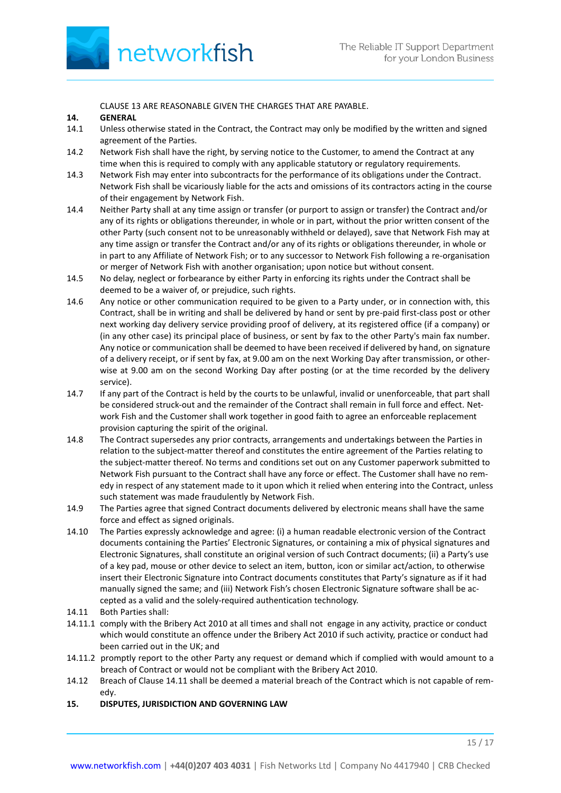

CLAUSE 13 ARE REASONABLE GIVEN THE CHARGES THAT ARE PAYABLE.

### **14. GENERAL**

- 14.1 Unless otherwise stated in the Contract, the Contract may only be modified by the written and signed agreement of the Parties.
- 14.2 Network Fish shall have the right, by serving notice to the Customer, to amend the Contract at any time when this is required to comply with any applicable statutory or regulatory requirements.
- 14.3 Network Fish may enter into subcontracts for the performance of its obligations under the Contract. Network Fish shall be vicariously liable for the acts and omissions of its contractors acting in the course of their engagement by Network Fish.
- 14.4 Neither Party shall at any time assign or transfer (or purport to assign or transfer) the Contract and/or any of its rights or obligations thereunder, in whole or in part, without the prior written consent of the other Party (such consent not to be unreasonably withheld or delayed), save that Network Fish may at any time assign or transfer the Contract and/or any of its rights or obligations thereunder, in whole or in part to any Affiliate of Network Fish; or to any successor to Network Fish following a re-organisation or merger of Network Fish with another organisation; upon notice but without consent.
- 14.5 No delay, neglect or forbearance by either Party in enforcing its rights under the Contract shall be deemed to be a waiver of, or prejudice, such rights.
- 14.6 Any notice or other communication required to be given to a Party under, or in connection with, this Contract, shall be in writing and shall be delivered by hand or sent by pre-paid first-class post or other next working day delivery service providing proof of delivery, at its registered office (if a company) or (in any other case) its principal place of business, or sent by fax to the other Party's main fax number. Any notice or communication shall be deemed to have been received if delivered by hand, on signature of a delivery receipt, or if sent by fax, at 9.00 am on the next Working Day after transmission, or otherwise at 9.00 am on the second Working Day after posting (or at the time recorded by the delivery service).
- 14.7 If any part of the Contract is held by the courts to be unlawful, invalid or unenforceable, that part shall be considered struck-out and the remainder of the Contract shall remain in full force and effect. Network Fish and the Customer shall work together in good faith to agree an enforceable replacement provision capturing the spirit of the original.
- 14.8 The Contract supersedes any prior contracts, arrangements and undertakings between the Parties in relation to the subject-matter thereof and constitutes the entire agreement of the Parties relating to the subject-matter thereof. No terms and conditions set out on any Customer paperwork submitted to Network Fish pursuant to the Contract shall have any force or effect. The Customer shall have no remedy in respect of any statement made to it upon which it relied when entering into the Contract, unless such statement was made fraudulently by Network Fish.
- 14.9 The Parties agree that signed Contract documents delivered by electronic means shall have the same force and effect as signed originals.
- 14.10 The Parties expressly acknowledge and agree: (i) a human readable electronic version of the Contract documents containing the Parties' Electronic Signatures, or containing a mix of physical signatures and Electronic Signatures, shall constitute an original version of such Contract documents; (ii) a Party's use of a key pad, mouse or other device to select an item, button, icon or similar act/action, to otherwise insert their Electronic Signature into Contract documents constitutes that Party's signature as if it had manually signed the same; and (iii) Network Fish's chosen Electronic Signature software shall be accepted as a valid and the solely-required authentication technology.
- 14.11 Both Parties shall:
- 14.11.1 comply with the Bribery Act 2010 at all times and shall not engage in any activity, practice or conduct which would constitute an offence under the Bribery Act 2010 if such activity, practice or conduct had been carried out in the UK; and
- 14.11.2 promptly report to the other Party any request or demand which if complied with would amount to a breach of Contract or would not be compliant with the Bribery Act 2010.
- 14.12 Breach of Clause 14.11 shall be deemed a material breach of the Contract which is not capable of remedy.
- **15. DISPUTES, JURISDICTION AND GOVERNING LAW**